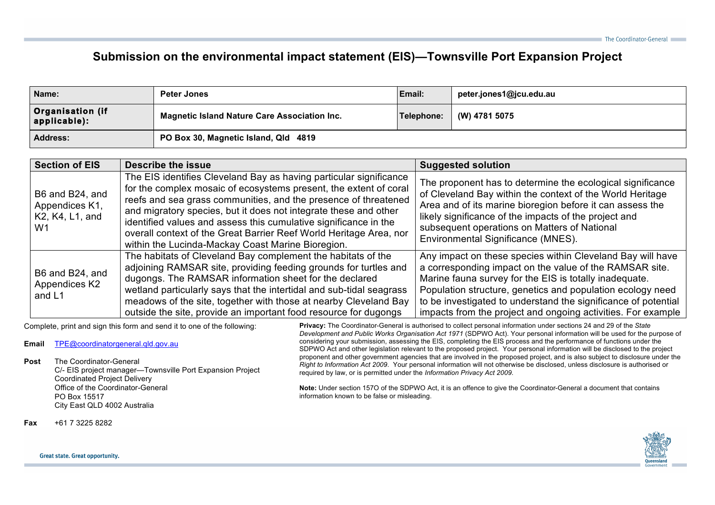## **Submission on the environmental impact statement (EIS)—Townsville Port Expansion Project**

| Name:                                   | <b>Peter Jones</b>                                  | Email:     | peter.jones1@jcu.edu.au |
|-----------------------------------------|-----------------------------------------------------|------------|-------------------------|
| <b>Organisation (if</b><br>applicable): | <b>Magnetic Island Nature Care Association Inc.</b> | Telephone: | (W) 4781 5075           |
| <b>Address:</b>                         | PO Box 30, Magnetic Island, Qld 4819                |            |                         |

| <b>Section of EIS</b>                                      | <b>Describe the issue</b>                                                                                                                                                                                                                                                                                                                                                                                                                                                     | <b>Suggested solution</b>                                                                                                                                                                                                                                                                                                                                                       |
|------------------------------------------------------------|-------------------------------------------------------------------------------------------------------------------------------------------------------------------------------------------------------------------------------------------------------------------------------------------------------------------------------------------------------------------------------------------------------------------------------------------------------------------------------|---------------------------------------------------------------------------------------------------------------------------------------------------------------------------------------------------------------------------------------------------------------------------------------------------------------------------------------------------------------------------------|
| B6 and B24, and<br>Appendices K1,<br>K2, K4, L1, and<br>W1 | The EIS identifies Cleveland Bay as having particular significance<br>for the complex mosaic of ecosystems present, the extent of coral<br>reefs and sea grass communities, and the presence of threatened<br>and migratory species, but it does not integrate these and other<br>identified values and assess this cumulative significance in the<br>overall context of the Great Barrier Reef World Heritage Area, nor<br>within the Lucinda-Mackay Coast Marine Bioregion. | The proponent has to determine the ecological significance<br>of Cleveland Bay within the context of the World Heritage<br>Area and of its marine bioregion before it can assess the<br>likely significance of the impacts of the project and<br>subsequent operations on Matters of National<br>Environmental Significance (MNES).                                             |
| B6 and B24, and<br>Appendices K2<br>and L1                 | The habitats of Cleveland Bay complement the habitats of the<br>adjoining RAMSAR site, providing feeding grounds for turtles and<br>dugongs. The RAMSAR information sheet for the declared<br>wetland particularly says that the intertidal and sub-tidal seagrass<br>meadows of the site, together with those at nearby Cleveland Bay<br>outside the site, provide an important food resource for dugongs                                                                    | Any impact on these species within Cleveland Bay will have<br>a corresponding impact on the value of the RAMSAR site.<br>Marine fauna survey for the EIS is totally inadequate.<br>Population structure, genetics and population ecology need<br>to be investigated to understand the significance of potential<br>impacts from the project and ongoing activities. For example |

Complete, print and sign this form and send it to one of the following:

**Email** TPE@coordinatorgeneral.qld.gov.au

**Post** The Coordinator-General

C/- EIS project manager—Townsville Port Expansion Project Coordinated Project Delivery Office of the Coordinator-General PO Box 15517 City East QLD 4002 Australia

**Privacy:** The Coordinator-General is authorised to collect personal information under sections 24 and 29 of the *State Development and Public Works Organisation Act 1971* (SDPWO Act). Your personal information will be used for the purpose of considering your submission, assessing the EIS, completing the EIS process and the performance of functions under the SDPWO Act and other legislation relevant to the proposed project. Your personal information will be disclosed to the project proponent and other government agencies that are involved in the proposed project, and is also subject to disclosure under the *Right to Information Act 2009*. Your personal information will not otherwise be disclosed, unless disclosure is authorised or required by law, or is permitted under the *Information Privacy Act 2009*.

**Note:** Under section 157O of the SDPWO Act, it is an offence to give the Coordinator-General a document that contains information known to be false or misleading.

**Fax** +61 7 3225 8282



## Great state. Great opportunity.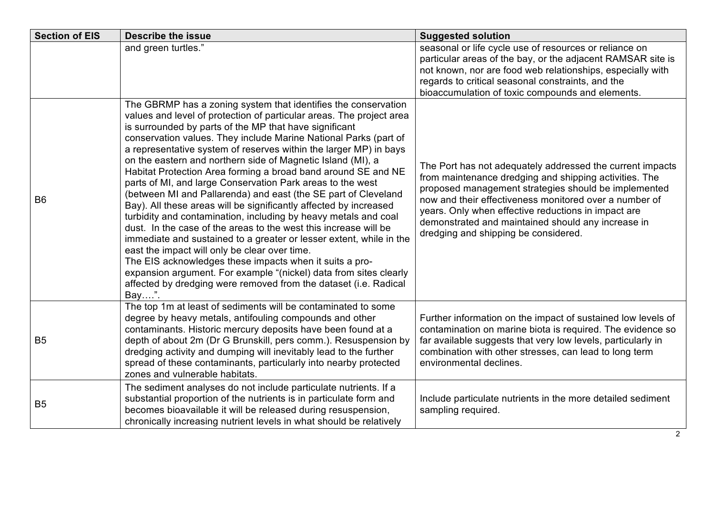| <b>Section of EIS</b> | <b>Describe the issue</b>                                                                                                                                                                                                                                                                                                                                                                                                                                                                                                                                                                                                                                                                                                                                                                                                                                                                                                                                                                                                                                                                                                                                  | <b>Suggested solution</b>                                                                                                                                                                                                                                                                                                                                                                  |
|-----------------------|------------------------------------------------------------------------------------------------------------------------------------------------------------------------------------------------------------------------------------------------------------------------------------------------------------------------------------------------------------------------------------------------------------------------------------------------------------------------------------------------------------------------------------------------------------------------------------------------------------------------------------------------------------------------------------------------------------------------------------------------------------------------------------------------------------------------------------------------------------------------------------------------------------------------------------------------------------------------------------------------------------------------------------------------------------------------------------------------------------------------------------------------------------|--------------------------------------------------------------------------------------------------------------------------------------------------------------------------------------------------------------------------------------------------------------------------------------------------------------------------------------------------------------------------------------------|
|                       | and green turtles."                                                                                                                                                                                                                                                                                                                                                                                                                                                                                                                                                                                                                                                                                                                                                                                                                                                                                                                                                                                                                                                                                                                                        | seasonal or life cycle use of resources or reliance on<br>particular areas of the bay, or the adjacent RAMSAR site is<br>not known, nor are food web relationships, especially with<br>regards to critical seasonal constraints, and the<br>bioaccumulation of toxic compounds and elements.                                                                                               |
| B <sub>6</sub>        | The GBRMP has a zoning system that identifies the conservation<br>values and level of protection of particular areas. The project area<br>is surrounded by parts of the MP that have significant<br>conservation values. They include Marine National Parks (part of<br>a representative system of reserves within the larger MP) in bays<br>on the eastern and northern side of Magnetic Island (MI), a<br>Habitat Protection Area forming a broad band around SE and NE<br>parts of MI, and large Conservation Park areas to the west<br>(between MI and Pallarenda) and east (the SE part of Cleveland<br>Bay). All these areas will be significantly affected by increased<br>turbidity and contamination, including by heavy metals and coal<br>dust. In the case of the areas to the west this increase will be<br>immediate and sustained to a greater or lesser extent, while in the<br>east the impact will only be clear over time.<br>The EIS acknowledges these impacts when it suits a pro-<br>expansion argument. For example "(nickel) data from sites clearly<br>affected by dredging were removed from the dataset (i.e. Radical<br>Bay". | The Port has not adequately addressed the current impacts<br>from maintenance dredging and shipping activities. The<br>proposed management strategies should be implemented<br>now and their effectiveness monitored over a number of<br>years. Only when effective reductions in impact are<br>demonstrated and maintained should any increase in<br>dredging and shipping be considered. |
| B <sub>5</sub>        | The top 1m at least of sediments will be contaminated to some<br>degree by heavy metals, antifouling compounds and other<br>contaminants. Historic mercury deposits have been found at a<br>depth of about 2m (Dr G Brunskill, pers comm.). Resuspension by<br>dredging activity and dumping will inevitably lead to the further<br>spread of these contaminants, particularly into nearby protected<br>zones and vulnerable habitats.                                                                                                                                                                                                                                                                                                                                                                                                                                                                                                                                                                                                                                                                                                                     | Further information on the impact of sustained low levels of<br>contamination on marine biota is required. The evidence so<br>far available suggests that very low levels, particularly in<br>combination with other stresses, can lead to long term<br>environmental declines.                                                                                                            |
| B <sub>5</sub>        | The sediment analyses do not include particulate nutrients. If a<br>substantial proportion of the nutrients is in particulate form and<br>becomes bioavailable it will be released during resuspension,<br>chronically increasing nutrient levels in what should be relatively                                                                                                                                                                                                                                                                                                                                                                                                                                                                                                                                                                                                                                                                                                                                                                                                                                                                             | Include particulate nutrients in the more detailed sediment<br>sampling required.                                                                                                                                                                                                                                                                                                          |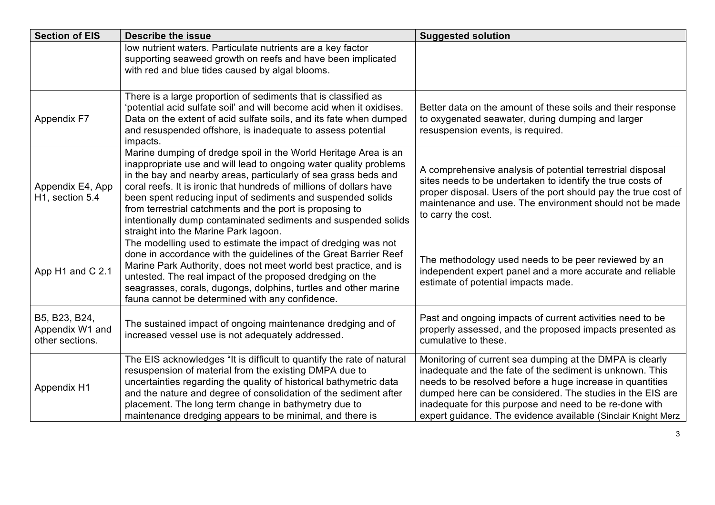| <b>Section of EIS</b>                               | <b>Describe the issue</b>                                                                                                                                                                                                                                                                                                                                                                                                                                                                                            | <b>Suggested solution</b>                                                                                                                                                                                                                                                                                                                                                  |
|-----------------------------------------------------|----------------------------------------------------------------------------------------------------------------------------------------------------------------------------------------------------------------------------------------------------------------------------------------------------------------------------------------------------------------------------------------------------------------------------------------------------------------------------------------------------------------------|----------------------------------------------------------------------------------------------------------------------------------------------------------------------------------------------------------------------------------------------------------------------------------------------------------------------------------------------------------------------------|
|                                                     | low nutrient waters. Particulate nutrients are a key factor<br>supporting seaweed growth on reefs and have been implicated<br>with red and blue tides caused by algal blooms.                                                                                                                                                                                                                                                                                                                                        |                                                                                                                                                                                                                                                                                                                                                                            |
| <b>Appendix F7</b>                                  | There is a large proportion of sediments that is classified as<br>'potential acid sulfate soil' and will become acid when it oxidises.<br>Data on the extent of acid sulfate soils, and its fate when dumped<br>and resuspended offshore, is inadequate to assess potential<br>impacts.                                                                                                                                                                                                                              | Better data on the amount of these soils and their response<br>to oxygenated seawater, during dumping and larger<br>resuspension events, is required.                                                                                                                                                                                                                      |
| Appendix E4, App<br>H <sub>1</sub> , section 5.4    | Marine dumping of dredge spoil in the World Heritage Area is an<br>inappropriate use and will lead to ongoing water quality problems<br>in the bay and nearby areas, particularly of sea grass beds and<br>coral reefs. It is ironic that hundreds of millions of dollars have<br>been spent reducing input of sediments and suspended solids<br>from terrestrial catchments and the port is proposing to<br>intentionally dump contaminated sediments and suspended solids<br>straight into the Marine Park lagoon. | A comprehensive analysis of potential terrestrial disposal<br>sites needs to be undertaken to identify the true costs of<br>proper disposal. Users of the port should pay the true cost of<br>maintenance and use. The environment should not be made<br>to carry the cost.                                                                                                |
| App H1 and C 2.1                                    | The modelling used to estimate the impact of dredging was not<br>done in accordance with the guidelines of the Great Barrier Reef<br>Marine Park Authority, does not meet world best practice, and is<br>untested. The real impact of the proposed dredging on the<br>seagrasses, corals, dugongs, dolphins, turtles and other marine<br>fauna cannot be determined with any confidence.                                                                                                                             | The methodology used needs to be peer reviewed by an<br>independent expert panel and a more accurate and reliable<br>estimate of potential impacts made.                                                                                                                                                                                                                   |
| B5, B23, B24,<br>Appendix W1 and<br>other sections. | The sustained impact of ongoing maintenance dredging and of<br>increased vessel use is not adequately addressed.                                                                                                                                                                                                                                                                                                                                                                                                     | Past and ongoing impacts of current activities need to be<br>properly assessed, and the proposed impacts presented as<br>cumulative to these.                                                                                                                                                                                                                              |
| Appendix H1                                         | The EIS acknowledges "It is difficult to quantify the rate of natural<br>resuspension of material from the existing DMPA due to<br>uncertainties regarding the quality of historical bathymetric data<br>and the nature and degree of consolidation of the sediment after<br>placement. The long term change in bathymetry due to<br>maintenance dredging appears to be minimal, and there is                                                                                                                        | Monitoring of current sea dumping at the DMPA is clearly<br>inadequate and the fate of the sediment is unknown. This<br>needs to be resolved before a huge increase in quantities<br>dumped here can be considered. The studies in the EIS are<br>inadequate for this purpose and need to be re-done with<br>expert guidance. The evidence available (Sinclair Knight Merz |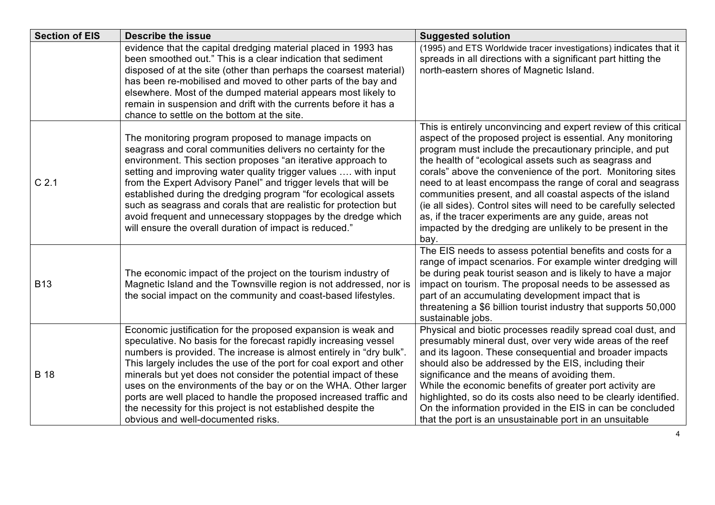| <b>Section of EIS</b> | <b>Describe the issue</b>                                                                                                                                                                                                                                                                                                                                                                                                                                                                                                                                                                           | <b>Suggested solution</b>                                                                                                                                                                                                                                                                                                                                                                                                                                                                                                                                                                                                                            |
|-----------------------|-----------------------------------------------------------------------------------------------------------------------------------------------------------------------------------------------------------------------------------------------------------------------------------------------------------------------------------------------------------------------------------------------------------------------------------------------------------------------------------------------------------------------------------------------------------------------------------------------------|------------------------------------------------------------------------------------------------------------------------------------------------------------------------------------------------------------------------------------------------------------------------------------------------------------------------------------------------------------------------------------------------------------------------------------------------------------------------------------------------------------------------------------------------------------------------------------------------------------------------------------------------------|
|                       | evidence that the capital dredging material placed in 1993 has<br>been smoothed out." This is a clear indication that sediment<br>disposed of at the site (other than perhaps the coarsest material)<br>has been re-mobilised and moved to other parts of the bay and<br>elsewhere. Most of the dumped material appears most likely to<br>remain in suspension and drift with the currents before it has a<br>chance to settle on the bottom at the site.                                                                                                                                           | (1995) and ETS Worldwide tracer investigations) indicates that it<br>spreads in all directions with a significant part hitting the<br>north-eastern shores of Magnetic Island.                                                                                                                                                                                                                                                                                                                                                                                                                                                                       |
| C <sub>2.1</sub>      | The monitoring program proposed to manage impacts on<br>seagrass and coral communities delivers no certainty for the<br>environment. This section proposes "an iterative approach to<br>setting and improving water quality trigger values  with input<br>from the Expert Advisory Panel" and trigger levels that will be<br>established during the dredging program "for ecological assets<br>such as seagrass and corals that are realistic for protection but<br>avoid frequent and unnecessary stoppages by the dredge which<br>will ensure the overall duration of impact is reduced."         | This is entirely unconvincing and expert review of this critical<br>aspect of the proposed project is essential. Any monitoring<br>program must include the precautionary principle, and put<br>the health of "ecological assets such as seagrass and<br>corals" above the convenience of the port. Monitoring sites<br>need to at least encompass the range of coral and seagrass<br>communities present, and all coastal aspects of the island<br>(ie all sides). Control sites will need to be carefully selected<br>as, if the tracer experiments are any guide, areas not<br>impacted by the dredging are unlikely to be present in the<br>bay. |
| <b>B13</b>            | The economic impact of the project on the tourism industry of<br>Magnetic Island and the Townsville region is not addressed, nor is<br>the social impact on the community and coast-based lifestyles.                                                                                                                                                                                                                                                                                                                                                                                               | The EIS needs to assess potential benefits and costs for a<br>range of impact scenarios. For example winter dredging will<br>be during peak tourist season and is likely to have a major<br>impact on tourism. The proposal needs to be assessed as<br>part of an accumulating development impact that is<br>threatening a \$6 billion tourist industry that supports 50,000<br>sustainable jobs.                                                                                                                                                                                                                                                    |
| <b>B</b> 18           | Economic justification for the proposed expansion is weak and<br>speculative. No basis for the forecast rapidly increasing vessel<br>numbers is provided. The increase is almost entirely in "dry bulk".<br>This largely includes the use of the port for coal export and other<br>minerals but yet does not consider the potential impact of these<br>uses on the environments of the bay or on the WHA. Other larger<br>ports are well placed to handle the proposed increased traffic and<br>the necessity for this project is not established despite the<br>obvious and well-documented risks. | Physical and biotic processes readily spread coal dust, and<br>presumably mineral dust, over very wide areas of the reef<br>and its lagoon. These consequential and broader impacts<br>should also be addressed by the EIS, including their<br>significance and the means of avoiding them.<br>While the economic benefits of greater port activity are<br>highlighted, so do its costs also need to be clearly identified.<br>On the information provided in the EIS in can be concluded<br>that the port is an unsustainable port in an unsuitable                                                                                                 |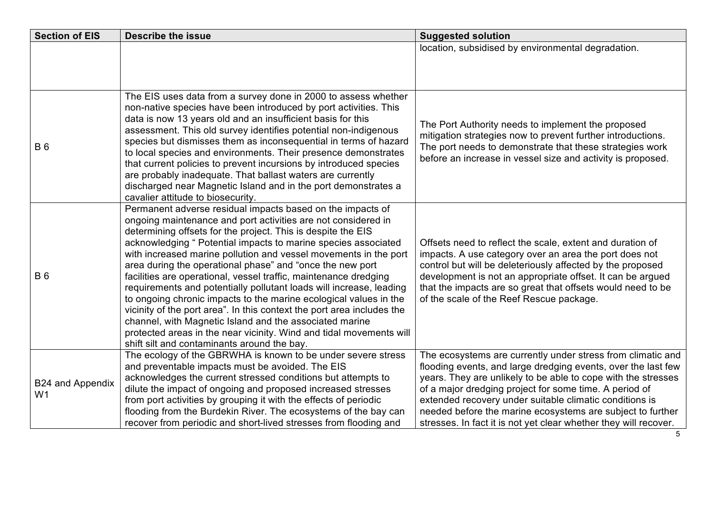| <b>Section of EIS</b>              | <b>Describe the issue</b>                                                                                                                                                                                                                                                                                                                                                                                                                                                                                                                                                                                                                                                                                                                                                                                                                                                 | <b>Suggested solution</b>                                                                                                                                                                                                                                                                                                                                                                                                                            |
|------------------------------------|---------------------------------------------------------------------------------------------------------------------------------------------------------------------------------------------------------------------------------------------------------------------------------------------------------------------------------------------------------------------------------------------------------------------------------------------------------------------------------------------------------------------------------------------------------------------------------------------------------------------------------------------------------------------------------------------------------------------------------------------------------------------------------------------------------------------------------------------------------------------------|------------------------------------------------------------------------------------------------------------------------------------------------------------------------------------------------------------------------------------------------------------------------------------------------------------------------------------------------------------------------------------------------------------------------------------------------------|
|                                    |                                                                                                                                                                                                                                                                                                                                                                                                                                                                                                                                                                                                                                                                                                                                                                                                                                                                           | location, subsidised by environmental degradation.                                                                                                                                                                                                                                                                                                                                                                                                   |
|                                    |                                                                                                                                                                                                                                                                                                                                                                                                                                                                                                                                                                                                                                                                                                                                                                                                                                                                           |                                                                                                                                                                                                                                                                                                                                                                                                                                                      |
|                                    |                                                                                                                                                                                                                                                                                                                                                                                                                                                                                                                                                                                                                                                                                                                                                                                                                                                                           |                                                                                                                                                                                                                                                                                                                                                                                                                                                      |
| <b>B</b> 6                         | The EIS uses data from a survey done in 2000 to assess whether<br>non-native species have been introduced by port activities. This<br>data is now 13 years old and an insufficient basis for this<br>assessment. This old survey identifies potential non-indigenous<br>species but dismisses them as inconsequential in terms of hazard<br>to local species and environments. Their presence demonstrates<br>that current policies to prevent incursions by introduced species<br>are probably inadequate. That ballast waters are currently<br>discharged near Magnetic Island and in the port demonstrates a<br>cavalier attitude to biosecurity.                                                                                                                                                                                                                      | The Port Authority needs to implement the proposed<br>mitigation strategies now to prevent further introductions.<br>The port needs to demonstrate that these strategies work<br>before an increase in vessel size and activity is proposed.                                                                                                                                                                                                         |
| <b>B</b> 6                         | Permanent adverse residual impacts based on the impacts of<br>ongoing maintenance and port activities are not considered in<br>determining offsets for the project. This is despite the EIS<br>acknowledging " Potential impacts to marine species associated<br>with increased marine pollution and vessel movements in the port<br>area during the operational phase" and "once the new port<br>facilities are operational, vessel traffic, maintenance dredging<br>requirements and potentially pollutant loads will increase, leading<br>to ongoing chronic impacts to the marine ecological values in the<br>vicinity of the port area". In this context the port area includes the<br>channel, with Magnetic Island and the associated marine<br>protected areas in the near vicinity. Wind and tidal movements will<br>shift silt and contaminants around the bay. | Offsets need to reflect the scale, extent and duration of<br>impacts. A use category over an area the port does not<br>control but will be deleteriously affected by the proposed<br>development is not an appropriate offset. It can be argued<br>that the impacts are so great that offsets would need to be<br>of the scale of the Reef Rescue package.                                                                                           |
| B24 and Appendix<br>W <sub>1</sub> | The ecology of the GBRWHA is known to be under severe stress<br>and preventable impacts must be avoided. The EIS<br>acknowledges the current stressed conditions but attempts to<br>dilute the impact of ongoing and proposed increased stresses<br>from port activities by grouping it with the effects of periodic<br>flooding from the Burdekin River. The ecosystems of the bay can<br>recover from periodic and short-lived stresses from flooding and                                                                                                                                                                                                                                                                                                                                                                                                               | The ecosystems are currently under stress from climatic and<br>flooding events, and large dredging events, over the last few<br>years. They are unlikely to be able to cope with the stresses<br>of a major dredging project for some time. A period of<br>extended recovery under suitable climatic conditions is<br>needed before the marine ecosystems are subject to further<br>stresses. In fact it is not yet clear whether they will recover. |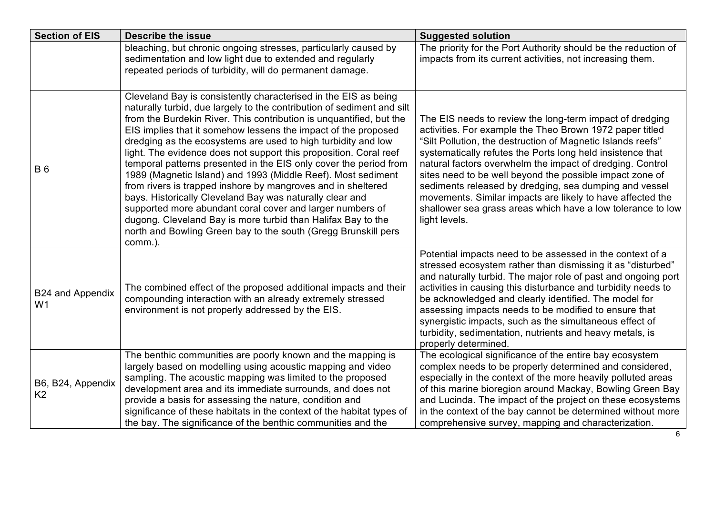| <b>Section of EIS</b>               | <b>Describe the issue</b>                                                                                                                                                                                                                                                                                                                                                                                                                                                                                                                                                                                                                                                                                                                                                                                                                                                                           | <b>Suggested solution</b>                                                                                                                                                                                                                                                                                                                                                                                                                                                                                                                                                          |
|-------------------------------------|-----------------------------------------------------------------------------------------------------------------------------------------------------------------------------------------------------------------------------------------------------------------------------------------------------------------------------------------------------------------------------------------------------------------------------------------------------------------------------------------------------------------------------------------------------------------------------------------------------------------------------------------------------------------------------------------------------------------------------------------------------------------------------------------------------------------------------------------------------------------------------------------------------|------------------------------------------------------------------------------------------------------------------------------------------------------------------------------------------------------------------------------------------------------------------------------------------------------------------------------------------------------------------------------------------------------------------------------------------------------------------------------------------------------------------------------------------------------------------------------------|
|                                     | bleaching, but chronic ongoing stresses, particularly caused by<br>sedimentation and low light due to extended and regularly<br>repeated periods of turbidity, will do permanent damage.                                                                                                                                                                                                                                                                                                                                                                                                                                                                                                                                                                                                                                                                                                            | The priority for the Port Authority should be the reduction of<br>impacts from its current activities, not increasing them.                                                                                                                                                                                                                                                                                                                                                                                                                                                        |
| <b>B6</b>                           | Cleveland Bay is consistently characterised in the EIS as being<br>naturally turbid, due largely to the contribution of sediment and silt<br>from the Burdekin River. This contribution is unquantified, but the<br>EIS implies that it somehow lessens the impact of the proposed<br>dredging as the ecosystems are used to high turbidity and low<br>light. The evidence does not support this proposition. Coral reef<br>temporal patterns presented in the EIS only cover the period from<br>1989 (Magnetic Island) and 1993 (Middle Reef). Most sediment<br>from rivers is trapped inshore by mangroves and in sheltered<br>bays. Historically Cleveland Bay was naturally clear and<br>supported more abundant coral cover and larger numbers of<br>dugong. Cleveland Bay is more turbid than Halifax Bay to the<br>north and Bowling Green bay to the south (Gregg Brunskill pers<br>comm.). | The EIS needs to review the long-term impact of dredging<br>activities. For example the Theo Brown 1972 paper titled<br>"Silt Pollution, the destruction of Magnetic Islands reefs"<br>systematically refutes the Ports long held insistence that<br>natural factors overwhelm the impact of dredging. Control<br>sites need to be well beyond the possible impact zone of<br>sediments released by dredging, sea dumping and vessel<br>movements. Similar impacts are likely to have affected the<br>shallower sea grass areas which have a low tolerance to low<br>light levels. |
| B24 and Appendix<br>W <sub>1</sub>  | The combined effect of the proposed additional impacts and their<br>compounding interaction with an already extremely stressed<br>environment is not properly addressed by the EIS.                                                                                                                                                                                                                                                                                                                                                                                                                                                                                                                                                                                                                                                                                                                 | Potential impacts need to be assessed in the context of a<br>stressed ecosystem rather than dismissing it as "disturbed"<br>and naturally turbid. The major role of past and ongoing port<br>activities in causing this disturbance and turbidity needs to<br>be acknowledged and clearly identified. The model for<br>assessing impacts needs to be modified to ensure that<br>synergistic impacts, such as the simultaneous effect of<br>turbidity, sedimentation, nutrients and heavy metals, is<br>properly determined.                                                        |
| B6, B24, Appendix<br>K <sub>2</sub> | The benthic communities are poorly known and the mapping is<br>largely based on modelling using acoustic mapping and video<br>sampling. The acoustic mapping was limited to the proposed<br>development area and its immediate surrounds, and does not<br>provide a basis for assessing the nature, condition and<br>significance of these habitats in the context of the habitat types of<br>the bay. The significance of the benthic communities and the                                                                                                                                                                                                                                                                                                                                                                                                                                          | The ecological significance of the entire bay ecosystem<br>complex needs to be properly determined and considered,<br>especially in the context of the more heavily polluted areas<br>of this marine bioregion around Mackay, Bowling Green Bay<br>and Lucinda. The impact of the project on these ecosystems<br>in the context of the bay cannot be determined without more<br>comprehensive survey, mapping and characterization.                                                                                                                                                |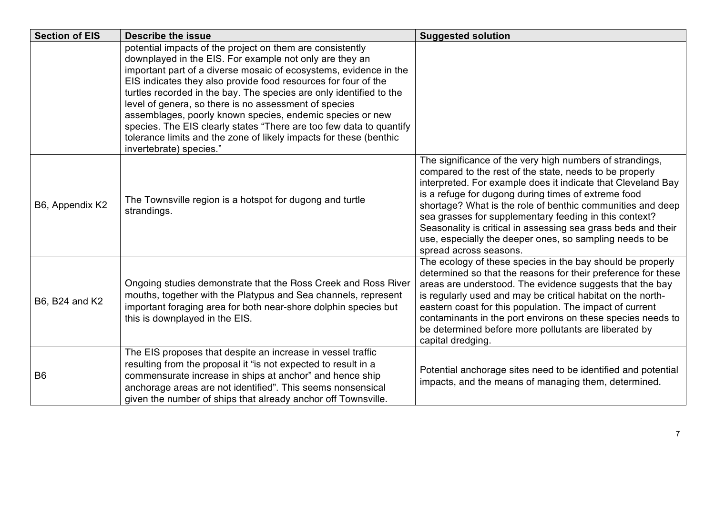| <b>Section of EIS</b> | <b>Describe the issue</b>                                                                                                                                                                                                                                                                                                                                                                                                                                                                                                                                                                                                        | <b>Suggested solution</b>                                                                                                                                                                                                                                                                                                                                                                                                                                                                                                 |
|-----------------------|----------------------------------------------------------------------------------------------------------------------------------------------------------------------------------------------------------------------------------------------------------------------------------------------------------------------------------------------------------------------------------------------------------------------------------------------------------------------------------------------------------------------------------------------------------------------------------------------------------------------------------|---------------------------------------------------------------------------------------------------------------------------------------------------------------------------------------------------------------------------------------------------------------------------------------------------------------------------------------------------------------------------------------------------------------------------------------------------------------------------------------------------------------------------|
|                       | potential impacts of the project on them are consistently<br>downplayed in the EIS. For example not only are they an<br>important part of a diverse mosaic of ecosystems, evidence in the<br>EIS indicates they also provide food resources for four of the<br>turtles recorded in the bay. The species are only identified to the<br>level of genera, so there is no assessment of species<br>assemblages, poorly known species, endemic species or new<br>species. The EIS clearly states "There are too few data to quantify<br>tolerance limits and the zone of likely impacts for these (benthic<br>invertebrate) species." |                                                                                                                                                                                                                                                                                                                                                                                                                                                                                                                           |
| B6, Appendix K2       | The Townsville region is a hotspot for dugong and turtle<br>strandings.                                                                                                                                                                                                                                                                                                                                                                                                                                                                                                                                                          | The significance of the very high numbers of strandings,<br>compared to the rest of the state, needs to be properly<br>interpreted. For example does it indicate that Cleveland Bay<br>is a refuge for dugong during times of extreme food<br>shortage? What is the role of benthic communities and deep<br>sea grasses for supplementary feeding in this context?<br>Seasonality is critical in assessing sea grass beds and their<br>use, especially the deeper ones, so sampling needs to be<br>spread across seasons. |
| B6, B24 and K2        | Ongoing studies demonstrate that the Ross Creek and Ross River<br>mouths, together with the Platypus and Sea channels, represent<br>important foraging area for both near-shore dolphin species but<br>this is downplayed in the EIS.                                                                                                                                                                                                                                                                                                                                                                                            | The ecology of these species in the bay should be properly<br>determined so that the reasons for their preference for these<br>areas are understood. The evidence suggests that the bay<br>is regularly used and may be critical habitat on the north-<br>eastern coast for this population. The impact of current<br>contaminants in the port environs on these species needs to<br>be determined before more pollutants are liberated by<br>capital dredging.                                                           |
| B <sub>6</sub>        | The EIS proposes that despite an increase in vessel traffic<br>resulting from the proposal it "is not expected to result in a<br>commensurate increase in ships at anchor" and hence ship<br>anchorage areas are not identified". This seems nonsensical<br>given the number of ships that already anchor off Townsville.                                                                                                                                                                                                                                                                                                        | Potential anchorage sites need to be identified and potential<br>impacts, and the means of managing them, determined.                                                                                                                                                                                                                                                                                                                                                                                                     |